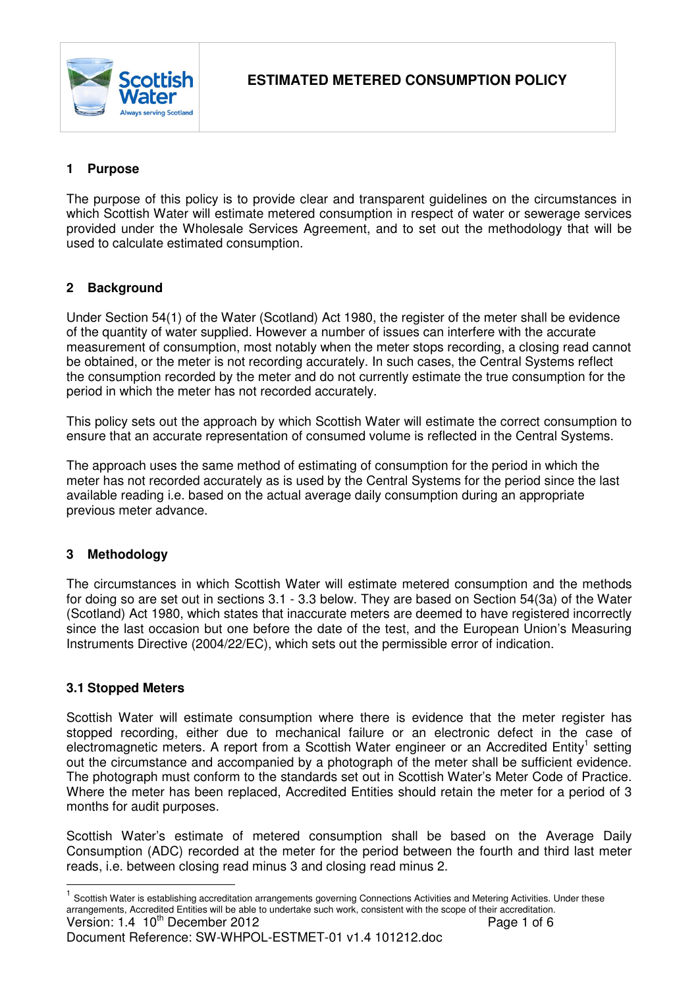

# **1 Purpose**

The purpose of this policy is to provide clear and transparent guidelines on the circumstances in which Scottish Water will estimate metered consumption in respect of water or sewerage services provided under the Wholesale Services Agreement, and to set out the methodology that will be used to calculate estimated consumption.

### **2 Background**

Under Section 54(1) of the Water (Scotland) Act 1980, the register of the meter shall be evidence of the quantity of water supplied. However a number of issues can interfere with the accurate measurement of consumption, most notably when the meter stops recording, a closing read cannot be obtained, or the meter is not recording accurately. In such cases, the Central Systems reflect the consumption recorded by the meter and do not currently estimate the true consumption for the period in which the meter has not recorded accurately.

This policy sets out the approach by which Scottish Water will estimate the correct consumption to ensure that an accurate representation of consumed volume is reflected in the Central Systems.

The approach uses the same method of estimating of consumption for the period in which the meter has not recorded accurately as is used by the Central Systems for the period since the last available reading i.e. based on the actual average daily consumption during an appropriate previous meter advance.

### **3 Methodology**

The circumstances in which Scottish Water will estimate metered consumption and the methods for doing so are set out in sections 3.1 - 3.3 below. They are based on Section 54(3a) of the Water (Scotland) Act 1980, which states that inaccurate meters are deemed to have registered incorrectly since the last occasion but one before the date of the test, and the European Union's Measuring Instruments Directive (2004/22/EC), which sets out the permissible error of indication.

#### **3.1 Stopped Meters**

Scottish Water will estimate consumption where there is evidence that the meter register has stopped recording, either due to mechanical failure or an electronic defect in the case of electromagnetic meters. A report from a Scottish Water engineer or an Accredited Entity<sup>1</sup> setting out the circumstance and accompanied by a photograph of the meter shall be sufficient evidence. The photograph must conform to the standards set out in Scottish Water's Meter Code of Practice. Where the meter has been replaced, Accredited Entities should retain the meter for a period of 3 months for audit purposes.

Scottish Water's estimate of metered consumption shall be based on the Average Daily Consumption (ADC) recorded at the meter for the period between the fourth and third last meter reads, i.e. between closing read minus 3 and closing read minus 2.

Document Reference: SW-WHPOL-ESTMET-01 v1.4 101212.doc

Version: 1.4 10<sup>th</sup> December 2012 Page 1 of 6 <u>nective</u><br><sup>1</sup> Scottish Water is establishing accreditation arrangements governing Connections Activities and Metering Activities. Under these arrangements, Accredited Entities will be able to undertake such work, consistent with the scope of their accreditation.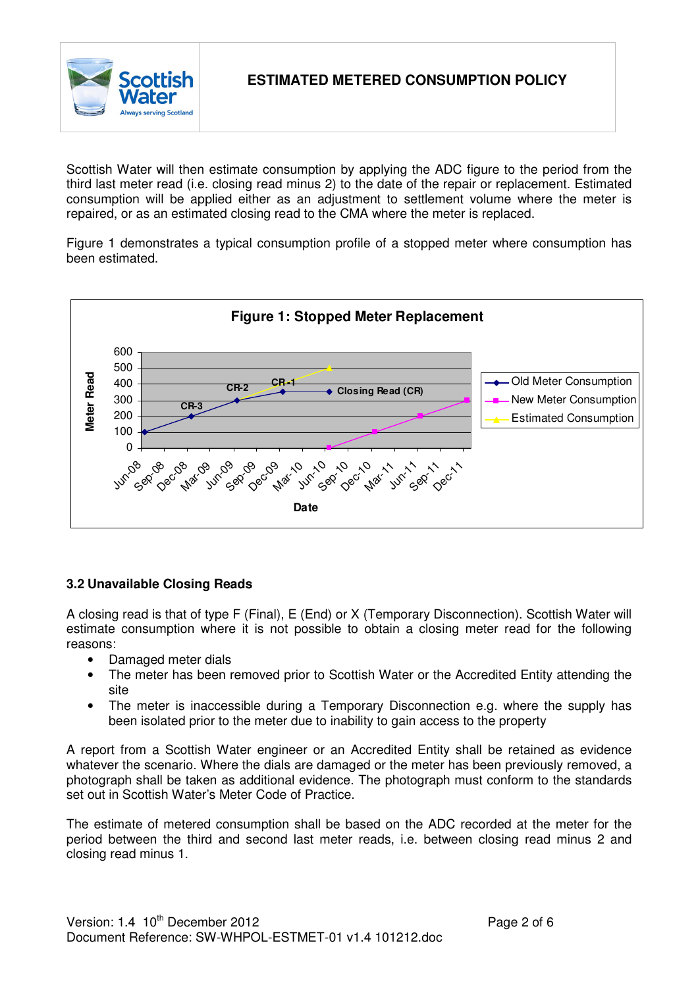

Scottish Water will then estimate consumption by applying the ADC figure to the period from the third last meter read (i.e. closing read minus 2) to the date of the repair or replacement. Estimated consumption will be applied either as an adjustment to settlement volume where the meter is repaired, or as an estimated closing read to the CMA where the meter is replaced.

Figure 1 demonstrates a typical consumption profile of a stopped meter where consumption has been estimated.



### **3.2 Unavailable Closing Reads**

A closing read is that of type F (Final), E (End) or X (Temporary Disconnection). Scottish Water will estimate consumption where it is not possible to obtain a closing meter read for the following reasons:

- Damaged meter dials
- The meter has been removed prior to Scottish Water or the Accredited Entity attending the site
- The meter is inaccessible during a Temporary Disconnection e.g. where the supply has been isolated prior to the meter due to inability to gain access to the property

A report from a Scottish Water engineer or an Accredited Entity shall be retained as evidence whatever the scenario. Where the dials are damaged or the meter has been previously removed, a photograph shall be taken as additional evidence. The photograph must conform to the standards set out in Scottish Water's Meter Code of Practice.

The estimate of metered consumption shall be based on the ADC recorded at the meter for the period between the third and second last meter reads, i.e. between closing read minus 2 and closing read minus 1.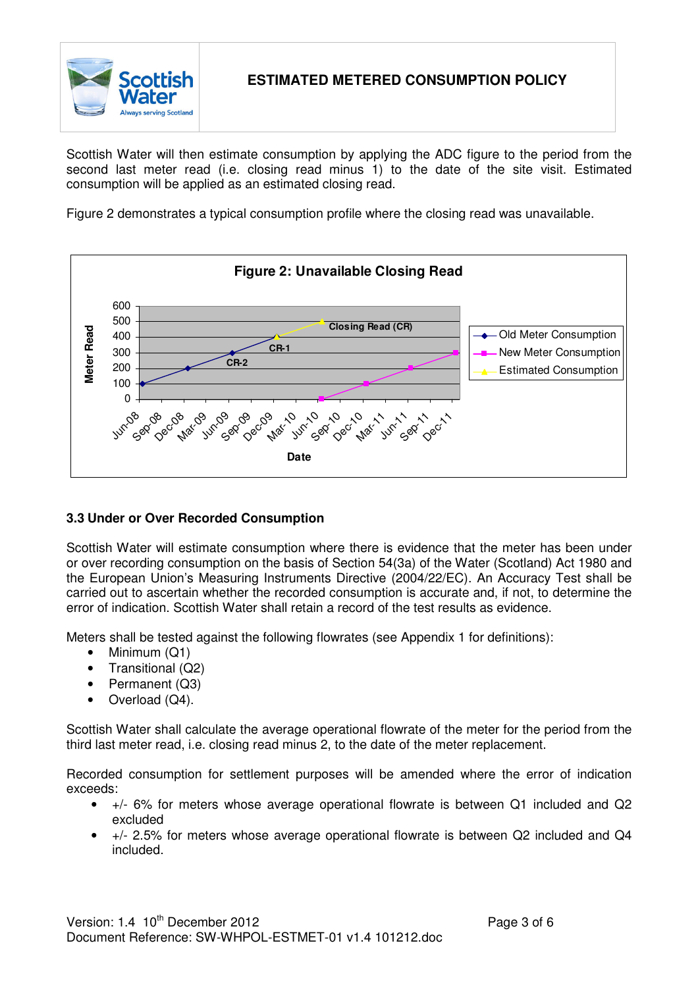

Scottish Water will then estimate consumption by applying the ADC figure to the period from the second last meter read (i.e. closing read minus 1) to the date of the site visit. Estimated consumption will be applied as an estimated closing read.

Figure 2 demonstrates a typical consumption profile where the closing read was unavailable.



### **3.3 Under or Over Recorded Consumption**

Scottish Water will estimate consumption where there is evidence that the meter has been under or over recording consumption on the basis of Section 54(3a) of the Water (Scotland) Act 1980 and the European Union's Measuring Instruments Directive (2004/22/EC). An Accuracy Test shall be carried out to ascertain whether the recorded consumption is accurate and, if not, to determine the error of indication. Scottish Water shall retain a record of the test results as evidence.

Meters shall be tested against the following flowrates (see Appendix 1 for definitions):

- Minimum (Q1)
- Transitional (Q2)
- Permanent (Q3)
- Overload (Q4).

Scottish Water shall calculate the average operational flowrate of the meter for the period from the third last meter read, i.e. closing read minus 2, to the date of the meter replacement.

Recorded consumption for settlement purposes will be amended where the error of indication exceeds:

- +/- 6% for meters whose average operational flowrate is between Q1 included and Q2 excluded
- +/- 2.5% for meters whose average operational flowrate is between Q2 included and Q4 included.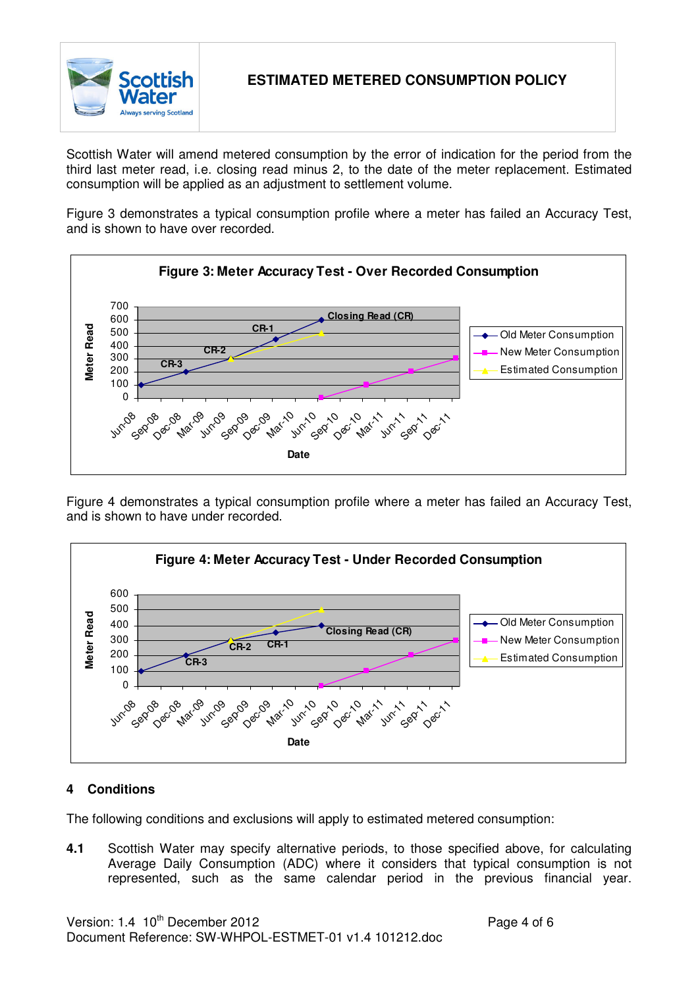

Scottish Water will amend metered consumption by the error of indication for the period from the third last meter read, i.e. closing read minus 2, to the date of the meter replacement. Estimated consumption will be applied as an adjustment to settlement volume.

Figure 3 demonstrates a typical consumption profile where a meter has failed an Accuracy Test, and is shown to have over recorded.



Figure 4 demonstrates a typical consumption profile where a meter has failed an Accuracy Test, and is shown to have under recorded.



### **4 Conditions**

The following conditions and exclusions will apply to estimated metered consumption:

**4.1** Scottish Water may specify alternative periods, to those specified above, for calculating Average Daily Consumption (ADC) where it considers that typical consumption is not represented, such as the same calendar period in the previous financial year.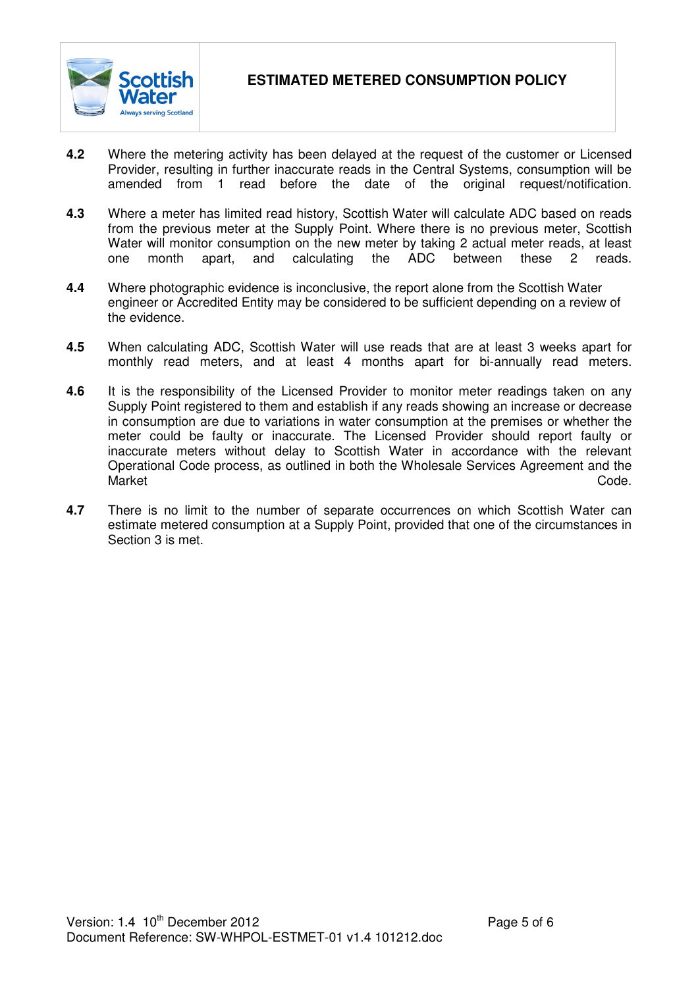

- **4.2** Where the metering activity has been delayed at the request of the customer or Licensed Provider, resulting in further inaccurate reads in the Central Systems, consumption will be amended from 1 read before the date of the original request/notification.
- **4.3** Where a meter has limited read history, Scottish Water will calculate ADC based on reads from the previous meter at the Supply Point. Where there is no previous meter, Scottish Water will monitor consumption on the new meter by taking 2 actual meter reads, at least one month apart, and calculating the ADC between these 2 reads.
- **4.4** Where photographic evidence is inconclusive, the report alone from the Scottish Water engineer or Accredited Entity may be considered to be sufficient depending on a review of the evidence.
- **4.5** When calculating ADC, Scottish Water will use reads that are at least 3 weeks apart for monthly read meters, and at least 4 months apart for bi-annually read meters.
- **4.6** It is the responsibility of the Licensed Provider to monitor meter readings taken on any Supply Point registered to them and establish if any reads showing an increase or decrease in consumption are due to variations in water consumption at the premises or whether the meter could be faulty or inaccurate. The Licensed Provider should report faulty or inaccurate meters without delay to Scottish Water in accordance with the relevant Operational Code process, as outlined in both the Wholesale Services Agreement and the Market **Code.**
- **4.7** There is no limit to the number of separate occurrences on which Scottish Water can estimate metered consumption at a Supply Point, provided that one of the circumstances in Section 3 is met.